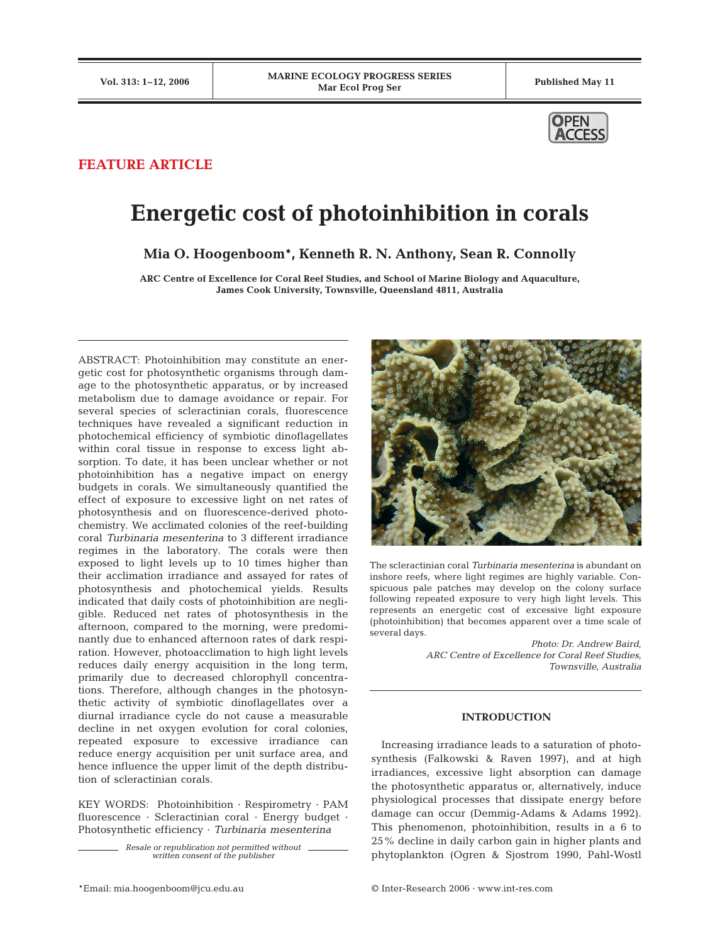

# **FEATURE ARTICLE**

# **Energetic cost of photoinhibition in corals**

**Mia O. Hoogenboom\*, Kenneth R. N. Anthony, Sean R. Connolly**

**ARC Centre of Excellence for Coral Reef Studies, and School of Marine Biology and Aquaculture, James Cook University, Townsville, Queensland 4811, Australia**

ABSTRACT: Photoinhibition may constitute an energetic cost for photosynthetic organisms through damage to the photosynthetic apparatus, or by increased metabolism due to damage avoidance or repair. For several species of scleractinian corals, fluorescence techniques have revealed a significant reduction in photochemical efficiency of symbiotic dinoflagellates within coral tissue in response to excess light absorption. To date, it has been unclear whether or not photoinhibition has a negative impact on energy budgets in corals. We simultaneously quantified the effect of exposure to excessive light on net rates of photosynthesis and on fluorescence-derived photochemistry. We acclimated colonies of the reef-building coral *Turbinaria mesenterina* to 3 different irradiance regimes in the laboratory. The corals were then exposed to light levels up to 10 times higher than their acclimation irradiance and assayed for rates of photosynthesis and photochemical yields. Results indicated that daily costs of photoinhibition are negligible. Reduced net rates of photosynthesis in the afternoon, compared to the morning, were predominantly due to enhanced afternoon rates of dark respiration. However, photoacclimation to high light levels reduces daily energy acquisition in the long term, primarily due to decreased chlorophyll concentrations. Therefore, although changes in the photosynthetic activity of symbiotic dinoflagellates over a diurnal irradiance cycle do not cause a measurable decline in net oxygen evolution for coral colonies, repeated exposure to excessive irradiance can reduce energy acquisition per unit surface area, and hence influence the upper limit of the depth distribution of scleractinian corals.

KEY WORDS: Photoinhibition · Respirometry · PAM fluorescence · Scleractinian coral · Energy budget · Photosynthetic efficiency · *Turbinaria mesenterina*

> *Resale or republication not permitted without written consent of the publisher*



The scleractinian coral *Turbinaria mesenterina* is abundant on inshore reefs, where light regimes are highly variable. Conspicuous pale patches may develop on the colony surface following repeated exposure to very high light levels. This represents an energetic cost of excessive light exposure (photoinhibition) that becomes apparent over a time scale of several days.

> *Photo: Dr. Andrew Baird, ARC Centre of Excellence for Coral Reef Studies, Townsville, Australia*

# **INTRODUCTION**

Increasing irradiance leads to a saturation of photosynthesis (Falkowski & Raven 1997), and at high irradiances, excessive light absorption can damage the photosynthetic apparatus or, alternatively, induce physiological processes that dissipate energy before damage can occur (Demmig-Adams & Adams 1992). This phenomenon, photoinhibition, results in a 6 to 25% decline in daily carbon gain in higher plants and phytoplankton (Ogren & Sjostrom 1990, Pahl-Wostl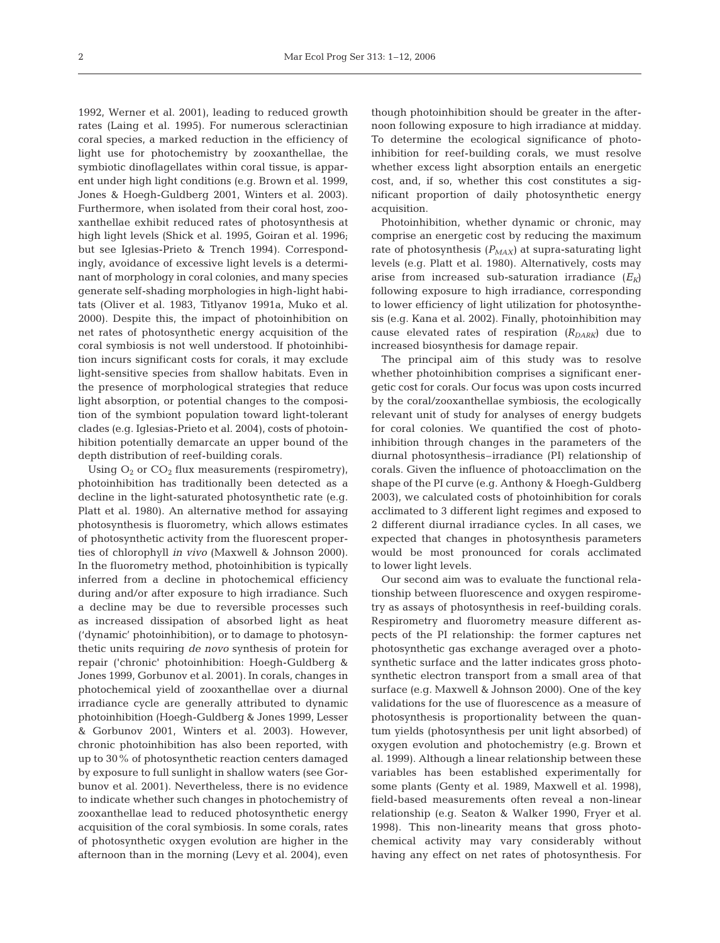1992, Werner et al. 2001), leading to reduced growth rates (Laing et al. 1995). For numerous scleractinian coral species, a marked reduction in the efficiency of light use for photochemistry by zooxanthellae, the symbiotic dinoflagellates within coral tissue, is apparent under high light conditions (e.g. Brown et al. 1999, Jones & Hoegh-Guldberg 2001, Winters et al. 2003). Furthermore, when isolated from their coral host, zooxanthellae exhibit reduced rates of photosynthesis at high light levels (Shick et al. 1995, Goiran et al. 1996; but see Iglesias-Prieto & Trench 1994). Correspondingly, avoidance of excessive light levels is a determinant of morphology in coral colonies, and many species generate self-shading morphologies in high-light habitats (Oliver et al. 1983, Titlyanov 1991a, Muko et al. 2000). Despite this, the impact of photoinhibition on net rates of photosynthetic energy acquisition of the coral symbiosis is not well understood. If photoinhibition incurs significant costs for corals, it may exclude light-sensitive species from shallow habitats. Even in the presence of morphological strategies that reduce light absorption, or potential changes to the composition of the symbiont population toward light-tolerant clades (e.g. Iglesias-Prieto et al. 2004), costs of photoinhibition potentially demarcate an upper bound of the depth distribution of reef-building corals.

Using  $O_2$  or  $CO_2$  flux measurements (respirometry), photoinhibition has traditionally been detected as a decline in the light-saturated photosynthetic rate (e.g. Platt et al. 1980). An alternative method for assaying photosynthesis is fluorometry, which allows estimates of photosynthetic activity from the fluorescent properties of chlorophyll *in vivo* (Maxwell & Johnson 2000). In the fluorometry method, photoinhibition is typically inferred from a decline in photochemical efficiency during and/or after exposure to high irradiance. Such a decline may be due to reversible processes such as increased dissipation of absorbed light as heat ('dynamic' photoinhibition), or to damage to photosynthetic units requiring *de novo* synthesis of protein for repair ('chronic' photoinhibition: Hoegh-Guldberg & Jones 1999, Gorbunov et al. 2001). In corals, changes in photochemical yield of zooxanthellae over a diurnal irradiance cycle are generally attributed to dynamic photoinhibition (Hoegh-Guldberg & Jones 1999, Lesser & Gorbunov 2001, Winters et al. 2003). However, chronic photoinhibition has also been reported, with up to 30% of photosynthetic reaction centers damaged by exposure to full sunlight in shallow waters (see Gorbunov et al. 2001). Nevertheless, there is no evidence to indicate whether such changes in photochemistry of zooxanthellae lead to reduced photosynthetic energy acquisition of the coral symbiosis. In some corals, rates of photosynthetic oxygen evolution are higher in the afternoon than in the morning (Levy et al. 2004), even though photoinhibition should be greater in the afternoon following exposure to high irradiance at midday. To determine the ecological significance of photoinhibition for reef-building corals, we must resolve whether excess light absorption entails an energetic cost, and, if so, whether this cost constitutes a significant proportion of daily photosynthetic energy acquisition.

Photoinhibition, whether dynamic or chronic, may comprise an energetic cost by reducing the maximum rate of photosynthesis  $(P_{MAX})$  at supra-saturating light levels (e.g. Platt et al. 1980). Alternatively, costs may arise from increased sub-saturation irradiance  $(E_K)$ following exposure to high irradiance, corresponding to lower efficiency of light utilization for photosynthesis (e.g. Kana et al. 2002). Finally, photoinhibition may cause elevated rates of respiration  $(R_{DARK})$  due to increased biosynthesis for damage repair.

The principal aim of this study was to resolve whether photoinhibition comprises a significant energetic cost for corals. Our focus was upon costs incurred by the coral/zooxanthellae symbiosis, the ecologically relevant unit of study for analyses of energy budgets for coral colonies. We quantified the cost of photoinhibition through changes in the parameters of the diurnal photosynthesis–irradiance (PI) relationship of corals. Given the influence of photoacclimation on the shape of the PI curve (e.g. Anthony & Hoegh-Guldberg 2003), we calculated costs of photoinhibition for corals acclimated to 3 different light regimes and exposed to 2 different diurnal irradiance cycles. In all cases, we expected that changes in photosynthesis parameters would be most pronounced for corals acclimated to lower light levels.

Our second aim was to evaluate the functional relationship between fluorescence and oxygen respirometry as assays of photosynthesis in reef-building corals. Respirometry and fluorometry measure different aspects of the PI relationship: the former captures net photosynthetic gas exchange averaged over a photosynthetic surface and the latter indicates gross photosynthetic electron transport from a small area of that surface (e.g. Maxwell & Johnson 2000). One of the key validations for the use of fluorescence as a measure of photosynthesis is proportionality between the quantum yields (photosynthesis per unit light absorbed) of oxygen evolution and photochemistry (e.g. Brown et al. 1999). Although a linear relationship between these variables has been established experimentally for some plants (Genty et al. 1989, Maxwell et al. 1998), field-based measurements often reveal a non-linear relationship (e.g. Seaton & Walker 1990, Fryer et al. 1998). This non-linearity means that gross photochemical activity may vary considerably without having any effect on net rates of photosynthesis. For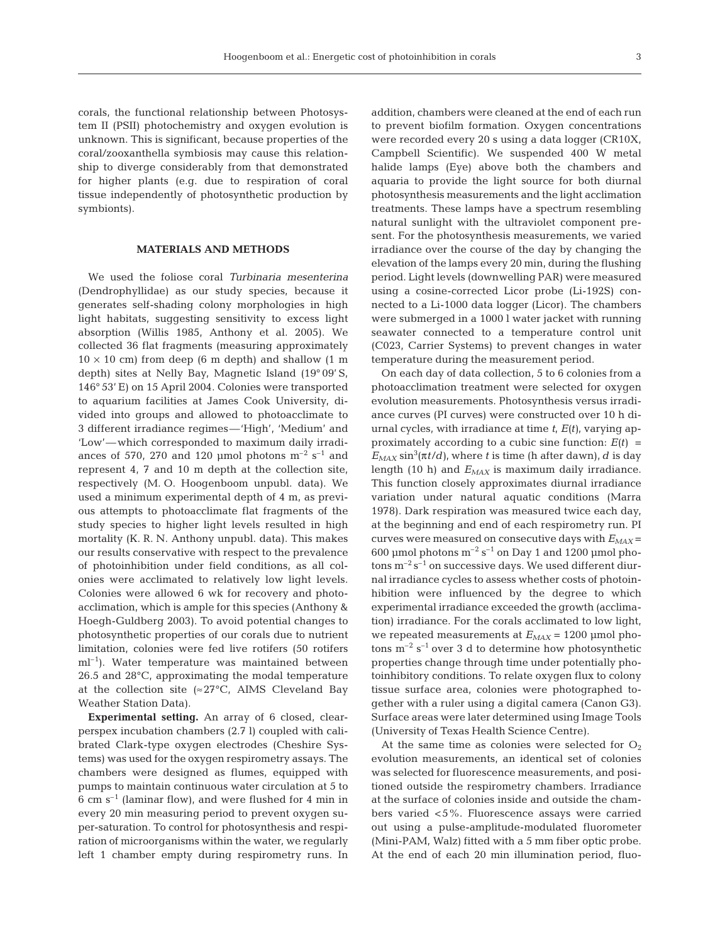corals, the functional relationship between Photosystem II (PSII) photochemistry and oxygen evolution is unknown. This is significant, because properties of the coral/zooxanthella symbiosis may cause this relationship to diverge considerably from that demonstrated for higher plants (e.g. due to respiration of coral tissue independently of photosynthetic production by symbionts).

# **MATERIALS AND METHODS**

We used the foliose coral *Turbinaria mesenterina* (Dendrophyllidae) as our study species, because it generates self-shading colony morphologies in high light habitats, suggesting sensitivity to excess light absorption (Willis 1985, Anthony et al. 2005). We collected 36 flat fragments (measuring approximately  $10 \times 10$  cm) from deep (6 m depth) and shallow (1 m depth) sites at Nelly Bay, Magnetic Island (19° 09' S, 146° 53' E) on 15 April 2004. Colonies were transported to aquarium facilities at James Cook University, divided into groups and allowed to photoacclimate to 3 different irradiance regimes—'High', 'Medium' and 'Low'—which corresponded to maximum daily irradiances of 570, 270 and 120 µmol photons  $m^{-2}$  s<sup>-1</sup> and represent 4, 7 and 10 m depth at the collection site, respectively (M. O. Hoogenboom unpubl. data). We used a minimum experimental depth of 4 m, as previous attempts to photoacclimate flat fragments of the study species to higher light levels resulted in high mortality (K. R. N. Anthony unpubl. data). This makes our results conservative with respect to the prevalence of photoinhibition under field conditions, as all colonies were acclimated to relatively low light levels. Colonies were allowed 6 wk for recovery and photoacclimation, which is ample for this species (Anthony & Hoegh-Guldberg 2003). To avoid potential changes to photosynthetic properties of our corals due to nutrient limitation, colonies were fed live rotifers (50 rotifers  $ml<sup>-1</sup>$ ). Water temperature was maintained between 26.5 and 28°C, approximating the modal temperature at the collection site ( $\approx$ 27°C, AIMS Cleveland Bay Weather Station Data).

**Experimental setting.** An array of 6 closed, clearperspex incubation chambers (2.7 l) coupled with calibrated Clark-type oxygen electrodes (Cheshire Systems) was used for the oxygen respirometry assays. The chambers were designed as flumes, equipped with pumps to maintain continuous water circulation at 5 to 6 cm  $s^{-1}$  (laminar flow), and were flushed for 4 min in every 20 min measuring period to prevent oxygen super-saturation. To control for photosynthesis and respiration of microorganisms within the water, we regularly left 1 chamber empty during respirometry runs. In

addition, chambers were cleaned at the end of each run to prevent biofilm formation. Oxygen concentrations were recorded every 20 s using a data logger (CR10X, Campbell Scientific). We suspended 400 W metal halide lamps (Eye) above both the chambers and aquaria to provide the light source for both diurnal photosynthesis measurements and the light acclimation treatments. These lamps have a spectrum resembling natural sunlight with the ultraviolet component present. For the photosynthesis measurements, we varied irradiance over the course of the day by changing the elevation of the lamps every 20 min, during the flushing period. Light levels (downwelling PAR) were measured using a cosine-corrected Licor probe (Li-192S) connected to a Li-1000 data logger (Licor). The chambers were submerged in a 1000 l water jacket with running seawater connected to a temperature control unit (C023, Carrier Systems) to prevent changes in water temperature during the measurement period.

On each day of data collection, 5 to 6 colonies from a photoacclimation treatment were selected for oxygen evolution measurements. Photosynthesis versus irradiance curves (PI curves) were constructed over 10 h diurnal cycles, with irradiance at time *t*, *E(t)*, varying approximately according to a cubic sine function:  $E(t)$  =  $E_{MAX}$  sin<sup>3</sup>( $\pi t/d$ ), where *t* is time (h after dawn), *d* is day length (10 h) and  $E_{MAX}$  is maximum daily irradiance. This function closely approximates diurnal irradiance variation under natural aquatic conditions (Marra 1978). Dark respiration was measured twice each day, at the beginning and end of each respirometry run. PI curves were measured on consecutive days with  $E_{MAX}$  = 600 μmol photons  $m^{-2}$  s<sup>-1</sup> on Day 1 and 1200 μmol photons  $m^{-2} s^{-1}$  on successive days. We used different diurnal irradiance cycles to assess whether costs of photoinhibition were influenced by the degree to which experimental irradiance exceeded the growth (acclimation) irradiance. For the corals acclimated to low light, we repeated measurements at *EMAX* = 1200 μmol photons  $m^{-2}$  s<sup>-1</sup> over 3 d to determine how photosynthetic properties change through time under potentially photoinhibitory conditions. To relate oxygen flux to colony tissue surface area, colonies were photographed together with a ruler using a digital camera (Canon G3). Surface areas were later determined using Image Tools (University of Texas Health Science Centre).

At the same time as colonies were selected for  $O_2$ evolution measurements, an identical set of colonies was selected for fluorescence measurements, and positioned outside the respirometry chambers. Irradiance at the surface of colonies inside and outside the chambers varied <5%. Fluorescence assays were carried out using a pulse-amplitude-modulated fluorometer (Mini-PAM, Walz) fitted with a 5 mm fiber optic probe. At the end of each 20 min illumination period, fluo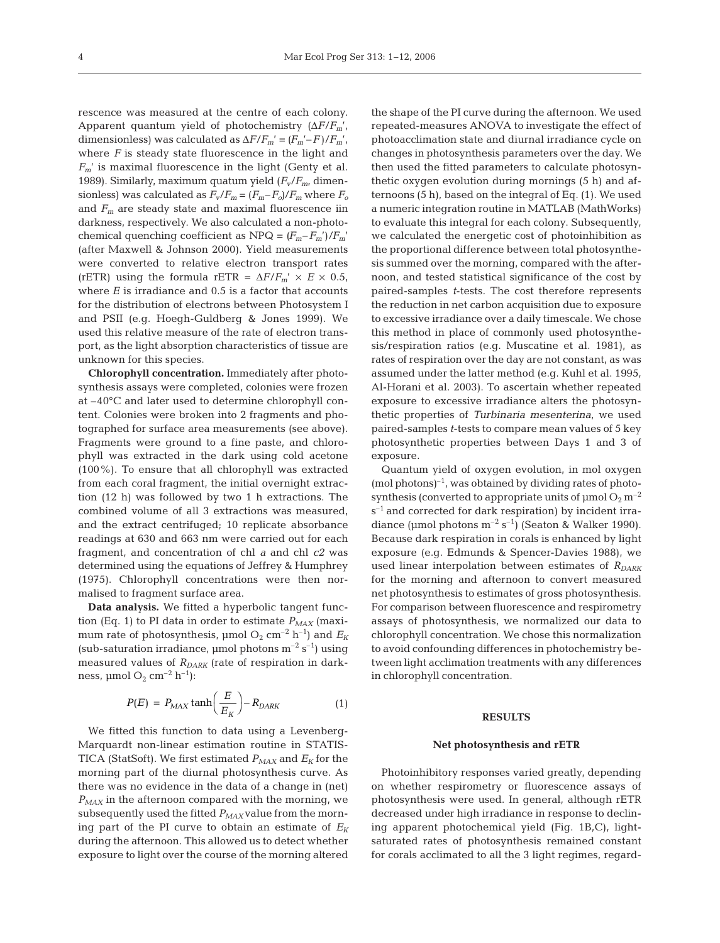rescence was measured at the centre of each colony. Apparent quantum yield of photochemistry  $(\Delta F/F_{m})$ , dimensionless) was calculated as  $\Delta F/F_m' = (F_m' - F)/F_m'$ , where *F* is steady state fluorescence in the light and *Fm*' is maximal fluorescence in the light (Genty et al. 1989). Similarly, maximum quatum yield (*Fv*/*Fm*, dimensionless) was calculated as  $F_v/F_m = (F_m - F_o)/F_m$  where  $F_o$ and  $F_m$  are steady state and maximal fluorescence iin darkness, respectively. We also calculated a non-photochemical quenching coefficient as  $NPQ = (F_m - F_m')/F_m'$ (after Maxwell & Johnson 2000)*.* Yield measurements were converted to relative electron transport rates (rETR) using the formula rETR =  $\Delta F/F_m' \times E \times 0.5$ , where  $E$  is irradiance and  $0.5$  is a factor that accounts for the distribution of electrons between Photosystem I and PSII (e.g. Hoegh-Guldberg & Jones 1999). We used this relative measure of the rate of electron transport, as the light absorption characteristics of tissue are unknown for this species.

**Chlorophyll concentration.** Immediately after photosynthesis assays were completed, colonies were frozen at –40°C and later used to determine chlorophyll content. Colonies were broken into 2 fragments and photographed for surface area measurements (see above). Fragments were ground to a fine paste, and chlorophyll was extracted in the dark using cold acetone (100%). To ensure that all chlorophyll was extracted from each coral fragment, the initial overnight extraction (12 h) was followed by two 1 h extractions. The combined volume of all 3 extractions was measured, and the extract centrifuged; 10 replicate absorbance readings at 630 and 663 nm were carried out for each fragment, and concentration of chl *a* and chl *c2* was determined using the equations of Jeffrey & Humphrey (1975). Chlorophyll concentrations were then normalised to fragment surface area.

**Data analysis.** We fitted a hyperbolic tangent function (Eq. 1) to PI data in order to estimate  $P_{MAX}$  (maximum rate of photosynthesis,  $\mu$ mol O<sub>2</sub> cm<sup>-2</sup> h<sup>-1</sup>) and  $E_K$ (sub-saturation irradiance, µmol photons  $m^{-2}$  s<sup>-1</sup>) using measured values of  $R_{DARK}$  (rate of respiration in darkness,  $\mu$ mol O<sub>2</sub> cm<sup>-2</sup> h<sup>-1</sup>):

$$
P(E) = P_{MAX} \tanh\left(\frac{E}{E_K}\right) - R_{DARK} \tag{1}
$$

We fitted this function to data using a Levenberg-Marquardt non-linear estimation routine in STATIS-TICA (StatSoft). We first estimated  $P_{MAX}$  and  $E_K$  for the morning part of the diurnal photosynthesis curve. As there was no evidence in the data of a change in (net)  $P_{MAX}$  in the afternoon compared with the morning, we subsequently used the fitted  $P_{MAX}$  value from the morning part of the PI curve to obtain an estimate of  $E_K$ during the afternoon. This allowed us to detect whether exposure to light over the course of the morning altered

the shape of the PI curve during the afternoon. We used repeated-measures ANOVA to investigate the effect of photoacclimation state and diurnal irradiance cycle on changes in photosynthesis parameters over the day. We then used the fitted parameters to calculate photosynthetic oxygen evolution during mornings (5 h) and afternoons (5 h), based on the integral of Eq. (1). We used a numeric integration routine in MATLAB (MathWorks) to evaluate this integral for each colony. Subsequently, we calculated the energetic cost of photoinhibition as the proportional difference between total photosynthesis summed over the morning, compared with the afternoon, and tested statistical significance of the cost by paired-samples *t*-tests. The cost therefore represents the reduction in net carbon acquisition due to exposure to excessive irradiance over a daily timescale. We chose this method in place of commonly used photosynthesis/respiration ratios (e.g. Muscatine et al. 1981), as rates of respiration over the day are not constant, as was assumed under the latter method (e.g. Kuhl et al. 1995, Al-Horani et al. 2003). To ascertain whether repeated exposure to excessive irradiance alters the photosynthetic properties of *Turbinaria mesenterina*, we used paired-samples *t*-tests to compare mean values of 5 key photosynthetic properties between Days 1 and 3 of exposure.

Quantum yield of oxygen evolution, in mol oxygen  $(mod$  photons $)^{-1}$ , was obtained by dividing rates of photosynthesis (converted to appropriate units of  $\mu$ mol  $O_2$  m<sup>-2</sup>  $s^{-1}$  and corrected for dark respiration) by incident irradiance (µmol photons  $m^{-2}$  s<sup>-1</sup>) (Seaton & Walker 1990). Because dark respiration in corals is enhanced by light exposure (e.g. Edmunds & Spencer-Davies 1988), we used linear interpolation between estimates of  $R_{DARK}$ for the morning and afternoon to convert measured net photosynthesis to estimates of gross photosynthesis. For comparison between fluorescence and respirometry assays of photosynthesis, we normalized our data to chlorophyll concentration. We chose this normalization to avoid confounding differences in photochemistry between light acclimation treatments with any differences in chlorophyll concentration.

#### **RESULTS**

#### **Net photosynthesis and rETR**

Photoinhibitory responses varied greatly, depending on whether respirometry or fluorescence assays of photosynthesis were used. In general, although rETR decreased under high irradiance in response to declining apparent photochemical yield (Fig. 1B,C), lightsaturated rates of photosynthesis remained constant for corals acclimated to all the 3 light regimes, regard-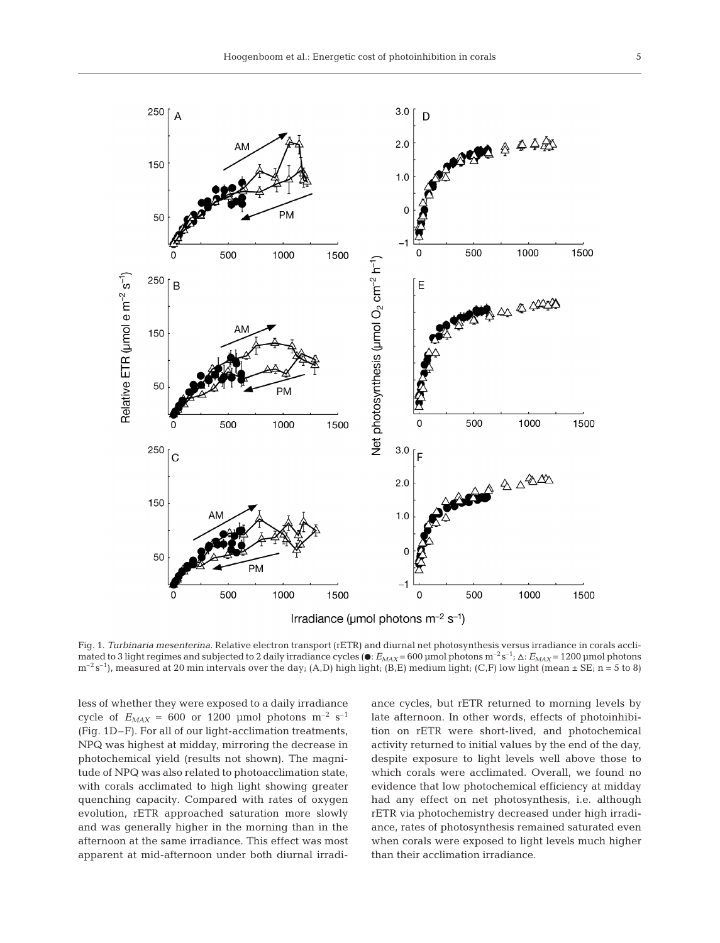5



Fig. 1. *Turbinaria mesenterina.* Relative electron transport (rETR) and diurnal net photosynthesis versus irradiance in corals acclimated to 3 light regimes and subjected to 2 daily irradiance cycles ( $\bullet$ :  $E_{MAX}$  = 600 µmol photons m<sup>-2</sup> s<sup>-1</sup>;  $\Delta$ :  $E_{MAX}$  = 1200 µmol photons  $m^{-2}$  s<sup>-1</sup>), measured at 20 min intervals over the day; (A,D) high light; (B,E) medium light; (C,F) low light (mean  $\pm$  SE; n = 5 to 8)

less of whether they were exposed to a daily irradiance cycle of  $E_{MAX} = 600$  or 1200 µmol photons m<sup>-2</sup> s<sup>-1</sup> (Fig. 1D–F). For all of our light-acclimation treatments, NPQ was highest at midday, mirroring the decrease in photochemical yield (results not shown). The magnitude of NPQ was also related to photoacclimation state, with corals acclimated to high light showing greater quenching capacity. Compared with rates of oxygen evolution, rETR approached saturation more slowly and was generally higher in the morning than in the afternoon at the same irradiance. This effect was most apparent at mid-afternoon under both diurnal irradiance cycles, but rETR returned to morning levels by late afternoon. In other words, effects of photoinhibition on rETR were short-lived, and photochemical activity returned to initial values by the end of the day, despite exposure to light levels well above those to which corals were acclimated. Overall, we found no evidence that low photochemical efficiency at midday had any effect on net photosynthesis, i.e. although rETR via photochemistry decreased under high irradiance, rates of photosynthesis remained saturated even when corals were exposed to light levels much higher than their acclimation irradiance.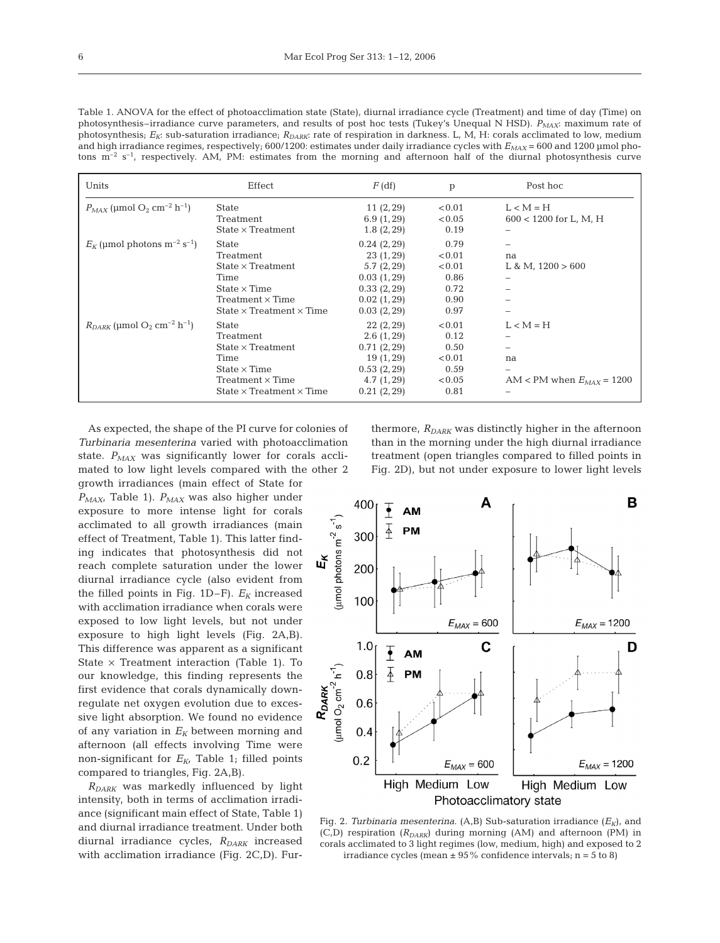Table 1. ANOVA for the effect of photoacclimation state (State), diurnal irradiance cycle (Treatment) and time of day (Time) on photosynthesis–irradiance curve parameters, and results of post hoc tests (Tukey's Unequal N HSD). *PMAX*: maximum rate of photosynthesis;  $E_K$ : sub-saturation irradiance;  $R_{DARK}$ : rate of respiration in darkness. L, M, H: corals acclimated to low, medium and high irradiance regimes, respectively; 600/1200: estimates under daily irradiance cycles with *E<sub>MAX</sub>* = 600 and 1200 μmol photons  $m^{-2}$  s<sup>-1</sup>, respectively. AM, PM: estimates from the morning and afternoon half of the diurnal photosynthesis curve

| Units                                                              | Effect                                                                                                                                                    | $F$ (df)                                                                                           | p                                                          | Post hoc                                           |
|--------------------------------------------------------------------|-----------------------------------------------------------------------------------------------------------------------------------------------------------|----------------------------------------------------------------------------------------------------|------------------------------------------------------------|----------------------------------------------------|
| $P_{MAX}$ (umol O <sub>2</sub> cm <sup>-2</sup> h <sup>-1</sup> )  | <b>State</b><br>Treatment<br>$State \times Treatment$                                                                                                     | 11(2, 29)<br>6.9(1, 29)<br>1.8(2, 29)                                                              | < 0.01<br>< 0.05<br>0.19                                   | $L < M = H$<br>$600 < 1200$ for L, M, H            |
| $E_K$ (µmol photons m <sup>-2</sup> s <sup>-1</sup> )              | <b>State</b><br>Treatment<br>State $\times$ Treatment<br>Time<br>State $\times$ Time<br>Treatment $\times$ Time<br>State $\times$ Treatment $\times$ Time | 0.24(2, 29)<br>23(1, 29)<br>5.7(2, 29)<br>0.03(1, 29)<br>0.33(2, 29)<br>0.02(1, 29)<br>0.03(2, 29) | 0.79<br>< 0.01<br>< 0.01<br>0.86<br>0.72<br>0.90<br>0.97   | na<br>L & M, $1200 > 600$                          |
| $R_{DARK}$ (µmol O <sub>2</sub> cm <sup>-2</sup> h <sup>-1</sup> ) | <b>State</b><br>Treatment<br>State $\times$ Treatment<br>Time<br>State $\times$ Time<br>$Treatment \times Time$<br>State $\times$ Treatment $\times$ Time | 22(2, 29)<br>2.6(1, 29)<br>0.71(2, 29)<br>19(1, 29)<br>0.53(2, 29)<br>4.7(1, 29)<br>0.21(2, 29)    | < 0.01<br>0.12<br>0.50<br>< 0.01<br>0.59<br>< 0.05<br>0.81 | $L < M = H$<br>na<br>AM < PM when $E_{MAX}$ = 1200 |

As expected, the shape of the PI curve for colonies of *Turbinaria mesenterina* varied with photoacclimation state.  $P_{MAX}$  was significantly lower for corals acclimated to low light levels compared with the other 2 growth irradiances (main effect of State for

*PMAX*, Table 1). *PMAX* was also higher under exposure to more intense light for corals acclimated to all growth irradiances (main effect of Treatment, Table 1). This latter finding indicates that photosynthesis did not reach complete saturation under the lower diurnal irradiance cycle (also evident from the filled points in Fig.  $1D-F$ ).  $E_K$  increased with acclimation irradiance when corals were exposed to low light levels, but not under exposure to high light levels (Fig. 2A,B). This difference was apparent as a significant State  $\times$  Treatment interaction (Table 1). To our knowledge, this finding represents the first evidence that corals dynamically downregulate net oxygen evolution due to excessive light absorption. We found no evidence of any variation in  $E_K$  between morning and afternoon (all effects involving Time were non-significant for  $E_{K}$ , Table 1; filled points compared to triangles, Fig. 2A,B).

*RDARK* was markedly influenced by light intensity, both in terms of acclimation irradiance (significant main effect of State, Table 1) and diurnal irradiance treatment. Under both diurnal irradiance cycles,  $R_{DARK}$  increased with acclimation irradiance (Fig. 2C,D). Fur-

thermore,  $R_{DARK}$  was distinctly higher in the afternoon than in the morning under the high diurnal irradiance treatment (open triangles compared to filled points in Fig. 2D), but not under exposure to lower light levels



Fig. 2. *Turbinaria mesenterina*. (A<sub>*B*</sub>) Sub-saturation irradiance ( $E_K$ ), and (C,D) respiration ( $R_{DARK}$ ) during morning (AM) and afternoon (PM) in corals acclimated to 3 light regimes (low, medium, high) and exposed to 2 irradiance cycles (mean  $\pm$  95% confidence intervals; n = 5 to 8)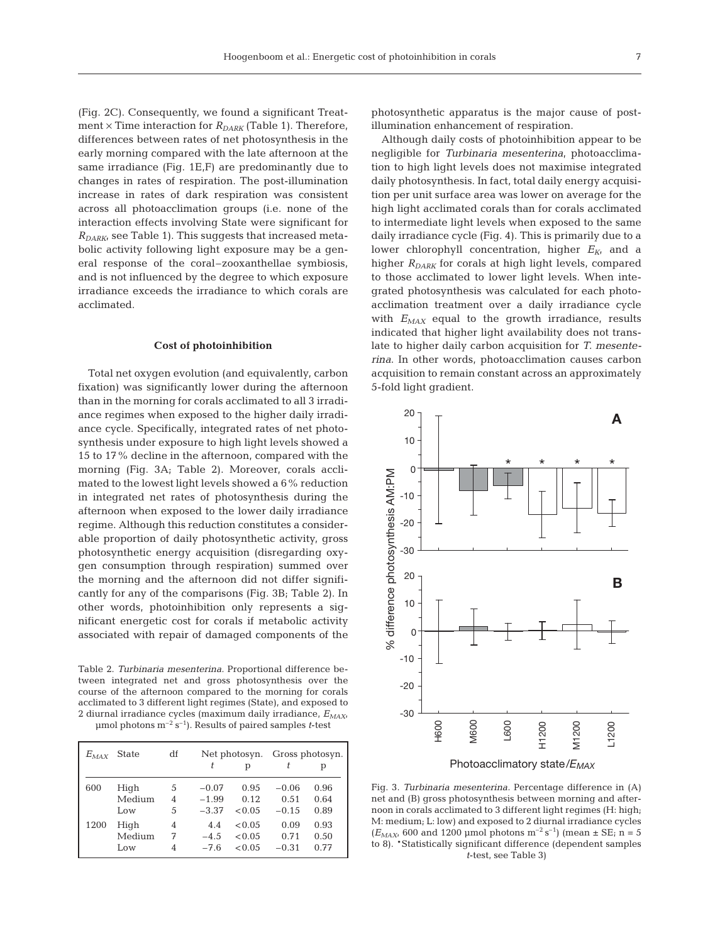(Fig. 2C). Consequently, we found a significant Treatment  $\times$  Time interaction for  $R_{DARK}$  (Table 1). Therefore, differences between rates of net photosynthesis in the early morning compared with the late afternoon at the same irradiance (Fig. 1E,F) are predominantly due to changes in rates of respiration. The post-illumination increase in rates of dark respiration was consistent across all photoacclimation groups (i.e. none of the interaction effects involving State were significant for  $R_{DARK}$  see Table 1). This suggests that increased metabolic activity following light exposure may be a general response of the coral–zooxanthellae symbiosis, and is not influenced by the degree to which exposure irradiance exceeds the irradiance to which corals are acclimated.

# **Cost of photoinhibition**

Total net oxygen evolution (and equivalently, carbon fixation) was significantly lower during the afternoon than in the morning for corals acclimated to all 3 irradiance regimes when exposed to the higher daily irradiance cycle. Specifically, integrated rates of net photosynthesis under exposure to high light levels showed a 15 to 17% decline in the afternoon, compared with the morning (Fig. 3A; Table 2). Moreover, corals acclimated to the lowest light levels showed a 6% reduction in integrated net rates of photosynthesis during the afternoon when exposed to the lower daily irradiance regime. Although this reduction constitutes a considerable proportion of daily photosynthetic activity, gross photosynthetic energy acquisition (disregarding oxygen consumption through respiration) summed over the morning and the afternoon did not differ significantly for any of the comparisons (Fig. 3B; Table 2). In other words, photoinhibition only represents a significant energetic cost for corals if metabolic activity associated with repair of damaged components of the

Table 2. *Turbinaria mesenterina.* Proportional difference between integrated net and gross photosynthesis over the course of the afternoon compared to the morning for corals acclimated to 3 different light regimes (State), and exposed to 2 diurnal irradiance cycles (maximum daily irradiance, *EMAX*, μmol photons m–2 s–1). Results of paired samples *t*-test

| $E_{MAX}$ | State  | df |         | Net photosyn.<br>р |         | Gross photosyn.<br>р |
|-----------|--------|----|---------|--------------------|---------|----------------------|
| 600       | High   | 5  | $-0.07$ | 0.95               | $-0.06$ | 0.96                 |
|           | Medium | 4  | $-1.99$ | 0.12               | 0.51    | 0.64                 |
|           | Low    | 5  | $-3.37$ | < 0.05             | $-0.15$ | 0.89                 |
| 1200      | High   | 4  | 4.4     | < 0.05             | 0.09    | 0.93                 |
|           | Medium | 7  | $-4.5$  | < 0.05             | 0.71    | 0.50                 |
|           | Low    | 4  | $-7.6$  | < 0.05             | $-0.31$ | 0.77                 |

photosynthetic apparatus is the major cause of postillumination enhancement of respiration.

Although daily costs of photoinhibition appear to be negligible for *Turbinaria mesenterina*, photoacclimation to high light levels does not maximise integrated daily photosynthesis. In fact, total daily energy acquisition per unit surface area was lower on average for the high light acclimated corals than for corals acclimated to intermediate light levels when exposed to the same daily irradiance cycle (Fig. 4). This is primarily due to a lower chlorophyll concentration, higher  $E_{K}$  and a higher  $R_{DARK}$  for corals at high light levels, compared to those acclimated to lower light levels. When integrated photosynthesis was calculated for each photoacclimation treatment over a daily irradiance cycle with  $E_{MAX}$  equal to the growth irradiance, results indicated that higher light availability does not translate to higher daily carbon acquisition for *T. mesenterina*. In other words, photoacclimation causes carbon acquisition to remain constant across an approximately 5-fold light gradient.



Fig. 3. *Turbinaria mesenterina.* Percentage difference in (A) net and (B) gross photosynthesis between morning and afternoon in corals acclimated to 3 different light regimes (H: high; M: medium; L: low) and exposed to 2 diurnal irradiance cycles  $(E_{MAX}$ , 600 and 1200 µmol photons m<sup>-2</sup> s<sup>-1</sup>) (mean  $\pm$  SE; n = 5 to 8). \*Statistically significant difference (dependent samples *t*-test, see Table 3)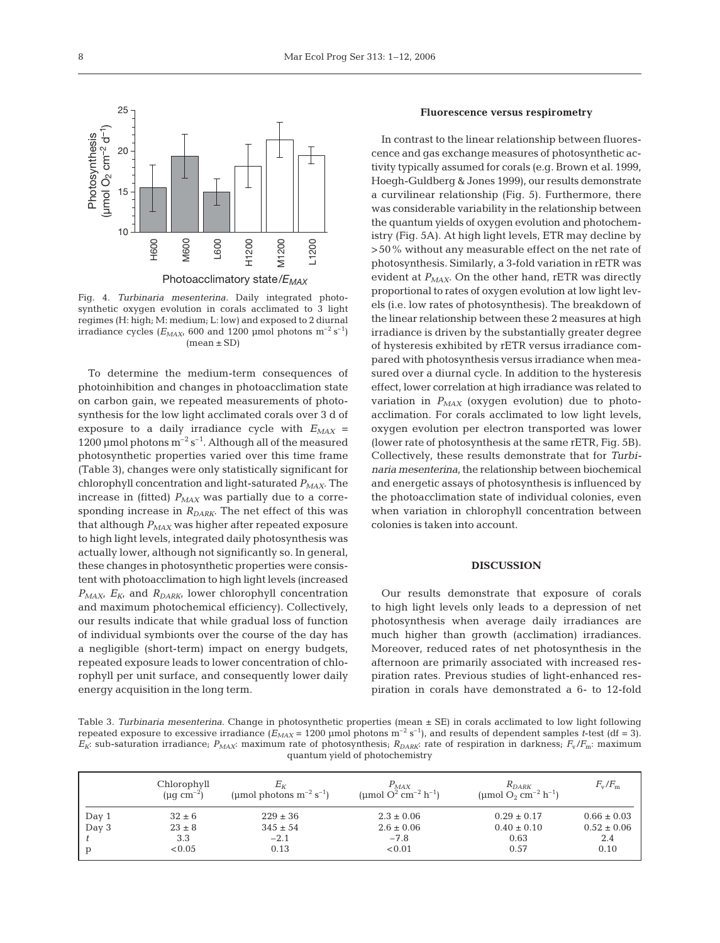

Fig. 4. *Turbinaria mesenterina.* Daily integrated photosynthetic oxygen evolution in corals acclimated to 3 light regimes (H: high; M: medium; L: low) and exposed to 2 diurnal irradiance cycles ( $E_{MAX}$ , 600 and 1200 µmol photons m<sup>-2</sup> s<sup>-1</sup>)  $(mean \pm SD)$ 

To determine the medium-term consequences of photoinhibition and changes in photoacclimation state on carbon gain, we repeated measurements of photosynthesis for the low light acclimated corals over 3 d of exposure to a daily irradiance cycle with  $E_{MAX}$  = 1200 μmol photons  $m^{-2} s^{-1}$ . Although all of the measured photosynthetic properties varied over this time frame (Table 3), changes were only statistically significant for chlorophyll concentration and light-saturated *PMAX*. The increase in (fitted)  $P_{MAX}$  was partially due to a corresponding increase in  $R_{DARK}$ . The net effect of this was that although  $P_{MAX}$  was higher after repeated exposure to high light levels, integrated daily photosynthesis was actually lower, although not significantly so. In general, these changes in photosynthetic properties were consistent with photoacclimation to high light levels (increased  $P_{MAX}$ ,  $E_{K}$  and  $R_{DARK}$ , lower chlorophyll concentration and maximum photochemical efficiency). Collectively, our results indicate that while gradual loss of function of individual symbionts over the course of the day has a negligible (short-term) impact on energy budgets, repeated exposure leads to lower concentration of chlorophyll per unit surface, and consequently lower daily energy acquisition in the long term.

# **Fluorescence versus respirometry**

In contrast to the linear relationship between fluorescence and gas exchange measures of photosynthetic activity typically assumed for corals (e.g. Brown et al. 1999, Hoegh-Guldberg & Jones 1999), our results demonstrate a curvilinear relationship (Fig. 5). Furthermore, there was considerable variability in the relationship between the quantum yields of oxygen evolution and photochemistry (Fig. 5A). At high light levels, ETR may decline by >50% without any measurable effect on the net rate of photosynthesis. Similarly, a 3-fold variation in rETR was evident at  $P_{MAX}$ . On the other hand, rETR was directly proportional to rates of oxygen evolution at low light levels (i.e. low rates of photosynthesis). The breakdown of the linear relationship between these 2 measures at high irradiance is driven by the substantially greater degree of hysteresis exhibited by rETR versus irradiance compared with photosynthesis versus irradiance when measured over a diurnal cycle. In addition to the hysteresis effect, lower correlation at high irradiance was related to variation in  $P_{MAX}$  (oxygen evolution) due to photoacclimation. For corals acclimated to low light levels, oxygen evolution per electron transported was lower (lower rate of photosynthesis at the same rETR, Fig. 5B). Collectively, these results demonstrate that for *Turbinaria mesenterina,* the relationship between biochemical and energetic assays of photosynthesis is influenced by the photoacclimation state of individual colonies, even when variation in chlorophyll concentration between colonies is taken into account.

#### **DISCUSSION**

Our results demonstrate that exposure of corals to high light levels only leads to a depression of net photosynthesis when average daily irradiances are much higher than growth (acclimation) irradiances. Moreover, reduced rates of net photosynthesis in the afternoon are primarily associated with increased respiration rates. Previous studies of light-enhanced respiration in corals have demonstrated a 6- to 12-fold

Table 3. *Turbinaria mesenterina.* Change in photosynthetic properties (mean ± SE) in corals acclimated to low light following repeated exposure to excessive irradiance  $(E_{MAX} = 1200 \text{ \mu mol photons m}^{-2} \text{ s}^{-1})$ , and results of dependent samples *t*-test (df = 3). *EK*: sub-saturation irradiance; *PMAX*: maximum rate of photosynthesis; *RDARK*: rate of respiration in darkness; *F*<sup>v</sup> /*F*m: maximum quantum yield of photochemistry

|       | Chlorophyll<br>$(\mu q \ cm^{-2})$ | $E_K$<br>(µmol photons $m^{-2}$ s <sup>-1</sup> ) | $P_{MAX}$<br>(umol $Q^2$ cm <sup>-2</sup> h <sup>-1</sup> ) | $R_{DARK}$<br>(µmol O <sub>2</sub> cm <sup>-2</sup> h <sup>-1</sup> ) | $F_{\rm v}/F_{\rm m}$ |
|-------|------------------------------------|---------------------------------------------------|-------------------------------------------------------------|-----------------------------------------------------------------------|-----------------------|
| Day 1 | $32 \pm 6$                         | $229 \pm 36$                                      | $2.3 \pm 0.06$                                              | $0.29 \pm 0.17$                                                       | $0.66 \pm 0.03$       |
| Day 3 | $23 \pm 8$                         | $345 \pm 54$                                      | $2.6 \pm 0.06$                                              | $0.40 \pm 0.10$                                                       | $0.52 \pm 0.06$       |
|       | 3.3                                | $-2.1$                                            | $-7.8$                                                      | 0.63                                                                  | 2.4                   |
| p     | < 0.05                             | 0.13                                              | < 0.01                                                      | 0.57                                                                  | 0.10                  |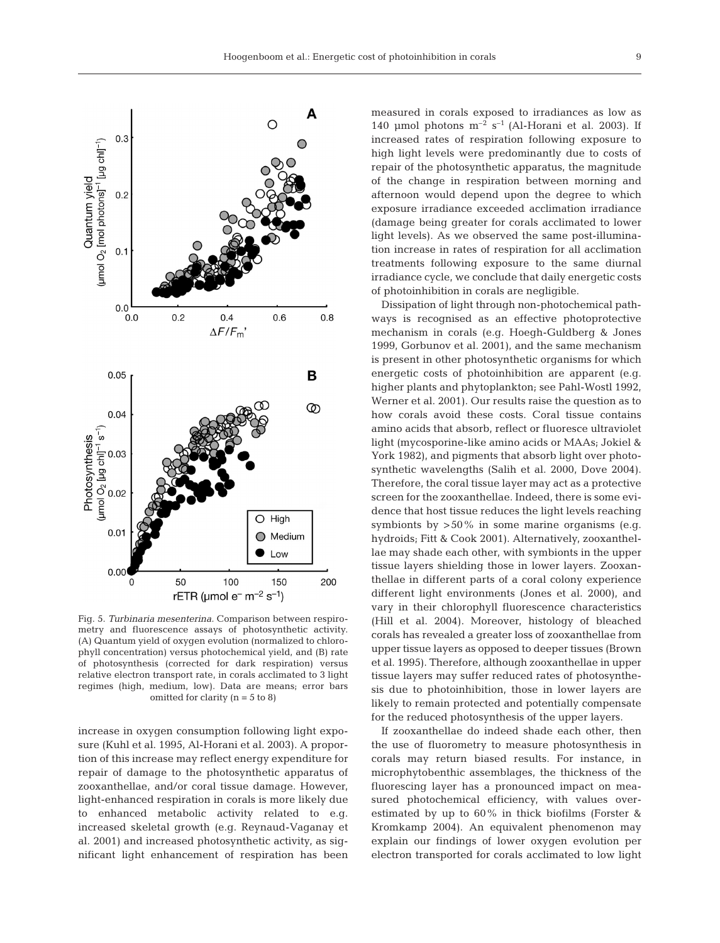

Fig. 5. *Turbinaria mesenterina.* Comparison between respirometry and fluorescence assays of photosynthetic activity. (A) Quantum yield of oxygen evolution (normalized to chlorophyll concentration) versus photochemical yield, and (B) rate of photosynthesis (corrected for dark respiration) versus relative electron transport rate, in corals acclimated to 3 light regimes (high, medium, low). Data are means; error bars omitted for clarity  $(n = 5$  to 8)

increase in oxygen consumption following light exposure (Kuhl et al. 1995, Al-Horani et al. 2003). A proportion of this increase may reflect energy expenditure for repair of damage to the photosynthetic apparatus of zooxanthellae, and/or coral tissue damage. However, light-enhanced respiration in corals is more likely due to enhanced metabolic activity related to e.g. increased skeletal growth (e.g. Reynaud-Vaganay et al. 2001) and increased photosynthetic activity, as significant light enhancement of respiration has been measured in corals exposed to irradiances as low as 140 μmol photons  $m^{-2}$  s<sup>-1</sup> (Al-Horani et al. 2003). If increased rates of respiration following exposure to high light levels were predominantly due to costs of repair of the photosynthetic apparatus, the magnitude of the change in respiration between morning and afternoon would depend upon the degree to which exposure irradiance exceeded acclimation irradiance (damage being greater for corals acclimated to lower light levels). As we observed the same post-illumination increase in rates of respiration for all acclimation treatments following exposure to the same diurnal irradiance cycle, we conclude that daily energetic costs of photoinhibition in corals are negligible.

Dissipation of light through non-photochemical pathways is recognised as an effective photoprotective mechanism in corals (e.g. Hoegh-Guldberg & Jones 1999, Gorbunov et al. 2001), and the same mechanism is present in other photosynthetic organisms for which energetic costs of photoinhibition are apparent (e.g. higher plants and phytoplankton; see Pahl-Wostl 1992, Werner et al. 2001). Our results raise the question as to how corals avoid these costs. Coral tissue contains amino acids that absorb, reflect or fluoresce ultraviolet light (mycosporine-like amino acids or MAAs; Jokiel & York 1982), and pigments that absorb light over photosynthetic wavelengths (Salih et al. 2000, Dove 2004). Therefore, the coral tissue layer may act as a protective screen for the zooxanthellae. Indeed, there is some evidence that host tissue reduces the light levels reaching symbionts by  $>50\%$  in some marine organisms (e.g. hydroids; Fitt & Cook 2001). Alternatively, zooxanthellae may shade each other, with symbionts in the upper tissue layers shielding those in lower layers. Zooxanthellae in different parts of a coral colony experience different light environments (Jones et al. 2000), and vary in their chlorophyll fluorescence characteristics (Hill et al. 2004). Moreover, histology of bleached corals has revealed a greater loss of zooxanthellae from upper tissue layers as opposed to deeper tissues (Brown et al. 1995). Therefore, although zooxanthellae in upper tissue layers may suffer reduced rates of photosynthesis due to photoinhibition, those in lower layers are likely to remain protected and potentially compensate for the reduced photosynthesis of the upper layers.

If zooxanthellae do indeed shade each other, then the use of fluorometry to measure photosynthesis in corals may return biased results. For instance, in microphytobenthic assemblages, the thickness of the fluorescing layer has a pronounced impact on measured photochemical efficiency, with values overestimated by up to 60% in thick biofilms (Forster & Kromkamp 2004). An equivalent phenomenon may explain our findings of lower oxygen evolution per electron transported for corals acclimated to low light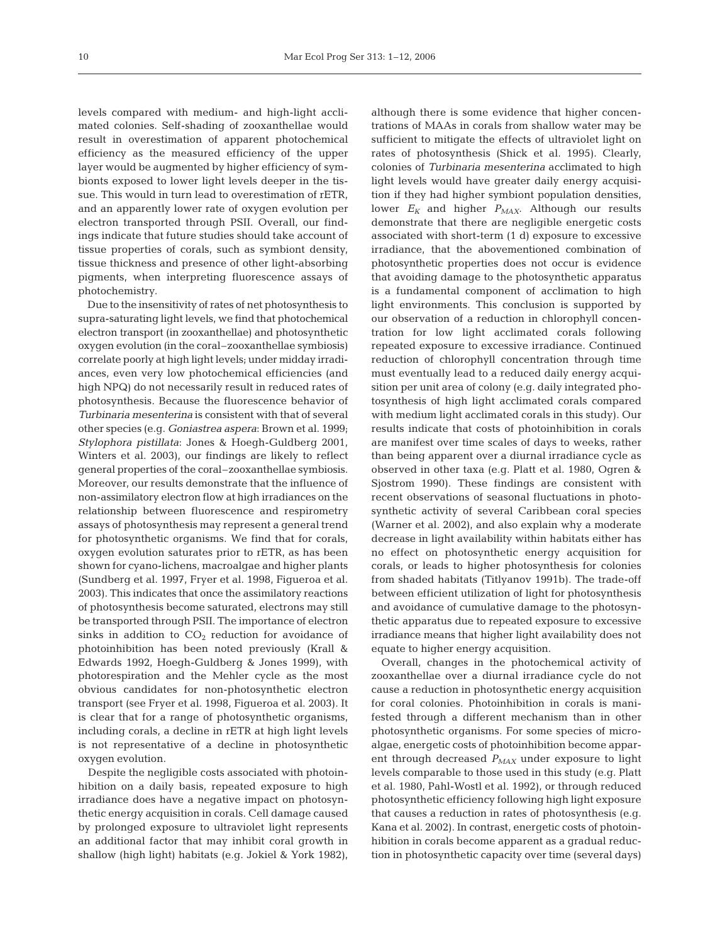levels compared with medium- and high-light acclimated colonies. Self-shading of zooxanthellae would result in overestimation of apparent photochemical efficiency as the measured efficiency of the upper layer would be augmented by higher efficiency of symbionts exposed to lower light levels deeper in the tissue. This would in turn lead to overestimation of rETR, and an apparently lower rate of oxygen evolution per electron transported through PSII. Overall, our findings indicate that future studies should take account of tissue properties of corals, such as symbiont density, tissue thickness and presence of other light-absorbing pigments, when interpreting fluorescence assays of photochemistry.

Due to the insensitivity of rates of net photosynthesis to supra-saturating light levels, we find that photochemical electron transport (in zooxanthellae) and photosynthetic oxygen evolution (in the coral–zooxanthellae symbiosis) correlate poorly at high light levels; under midday irradiances, even very low photochemical efficiencies (and high NPQ) do not necessarily result in reduced rates of photosynthesis. Because the fluorescence behavior of *Turbinaria mesenterina* is consistent with that of several other species (e.g. *Goniastrea aspera*: Brown et al. 1999; *Stylophora pistillata*: Jones & Hoegh-Guldberg 2001, Winters et al. 2003), our findings are likely to reflect general properties of the coral–zooxanthellae symbiosis. Moreover, our results demonstrate that the influence of non-assimilatory electron flow at high irradiances on the relationship between fluorescence and respirometry assays of photosynthesis may represent a general trend for photosynthetic organisms. We find that for corals, oxygen evolution saturates prior to rETR, as has been shown for cyano-lichens, macroalgae and higher plants (Sundberg et al. 1997, Fryer et al. 1998, Figueroa et al. 2003). This indicates that once the assimilatory reactions of photosynthesis become saturated, electrons may still be transported through PSII. The importance of electron sinks in addition to  $CO<sub>2</sub>$  reduction for avoidance of photoinhibition has been noted previously (Krall & Edwards 1992, Hoegh-Guldberg & Jones 1999), with photorespiration and the Mehler cycle as the most obvious candidates for non-photosynthetic electron transport (see Fryer et al. 1998, Figueroa et al. 2003). It is clear that for a range of photosynthetic organisms, including corals, a decline in rETR at high light levels is not representative of a decline in photosynthetic oxygen evolution.

Despite the negligible costs associated with photoinhibition on a daily basis, repeated exposure to high irradiance does have a negative impact on photosynthetic energy acquisition in corals. Cell damage caused by prolonged exposure to ultraviolet light represents an additional factor that may inhibit coral growth in shallow (high light) habitats (e.g. Jokiel & York 1982),

although there is some evidence that higher concentrations of MAAs in corals from shallow water may be sufficient to mitigate the effects of ultraviolet light on rates of photosynthesis (Shick et al. 1995). Clearly, colonies of *Turbinaria mesenterina* acclimated to high light levels would have greater daily energy acquisition if they had higher symbiont population densities, lower  $E_K$  and higher  $P_{MAX}$ . Although our results demonstrate that there are negligible energetic costs associated with short-term (1 d) exposure to excessive irradiance, that the abovementioned combination of photosynthetic properties does not occur is evidence that avoiding damage to the photosynthetic apparatus is a fundamental component of acclimation to high light environments. This conclusion is supported by our observation of a reduction in chlorophyll concentration for low light acclimated corals following repeated exposure to excessive irradiance. Continued reduction of chlorophyll concentration through time must eventually lead to a reduced daily energy acquisition per unit area of colony (e.g. daily integrated photosynthesis of high light acclimated corals compared with medium light acclimated corals in this study). Our results indicate that costs of photoinhibition in corals are manifest over time scales of days to weeks, rather than being apparent over a diurnal irradiance cycle as observed in other taxa (e.g. Platt et al. 1980, Ogren & Sjostrom 1990). These findings are consistent with recent observations of seasonal fluctuations in photosynthetic activity of several Caribbean coral species (Warner et al. 2002), and also explain why a moderate decrease in light availability within habitats either has no effect on photosynthetic energy acquisition for corals, or leads to higher photosynthesis for colonies from shaded habitats (Titlyanov 1991b). The trade-off between efficient utilization of light for photosynthesis and avoidance of cumulative damage to the photosynthetic apparatus due to repeated exposure to excessive irradiance means that higher light availability does not equate to higher energy acquisition.

Overall, changes in the photochemical activity of zooxanthellae over a diurnal irradiance cycle do not cause a reduction in photosynthetic energy acquisition for coral colonies. Photoinhibition in corals is manifested through a different mechanism than in other photosynthetic organisms. For some species of microalgae, energetic costs of photoinhibition become apparent through decreased  $P_{MAX}$  under exposure to light levels comparable to those used in this study (e.g. Platt et al. 1980, Pahl-Wostl et al. 1992), or through reduced photosynthetic efficiency following high light exposure that causes a reduction in rates of photosynthesis (e.g. Kana et al. 2002). In contrast, energetic costs of photoinhibition in corals become apparent as a gradual reduction in photosynthetic capacity over time (several days)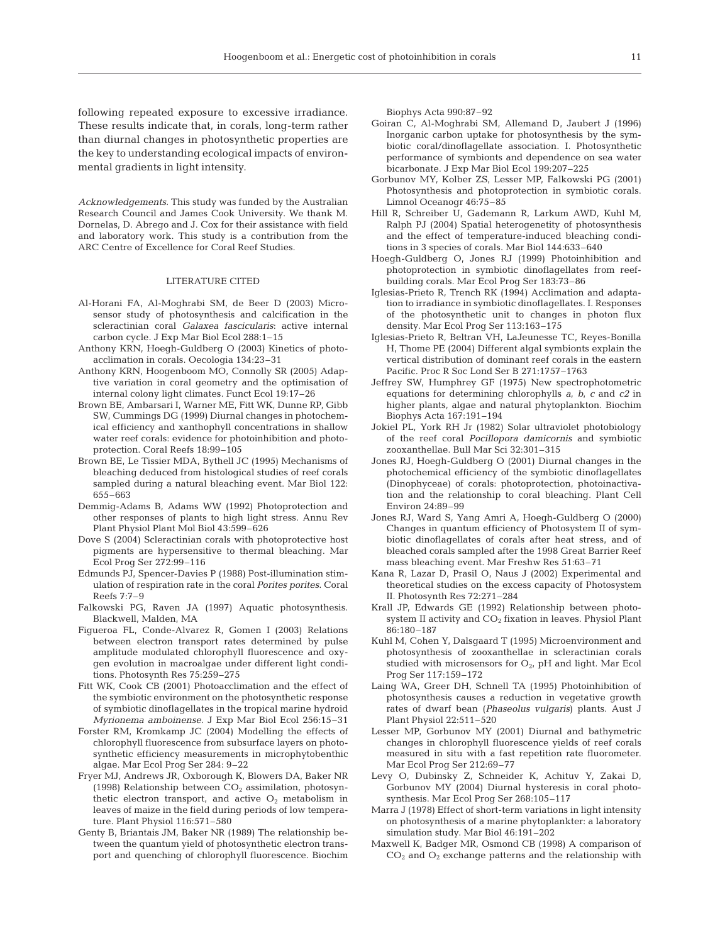following repeated exposure to excessive irradiance. These results indicate that, in corals, long-term rather than diurnal changes in photosynthetic properties are the key to understanding ecological impacts of environmental gradients in light intensity.

*Acknowledgements.* This study was funded by the Australian Research Council and James Cook University. We thank M. Dornelas, D. Abrego and J. Cox for their assistance with field and laboratory work. This study is a contribution from the ARC Centre of Excellence for Coral Reef Studies.

# LITERATURE CITED

- Al-Horani FA, Al-Moghrabi SM, de Beer D (2003) Microsensor study of photosynthesis and calcification in the scleractinian coral *Galaxea fascicularis*: active internal carbon cycle. J Exp Mar Biol Ecol 288:1–15
- Anthony KRN, Hoegh-Guldberg O (2003) Kinetics of photoacclimation in corals. Oecologia 134:23–31
- Anthony KRN, Hoogenboom MO, Connolly SR (2005) Adaptive variation in coral geometry and the optimisation of internal colony light climates. Funct Ecol 19:17–26
- Brown BE, Ambarsari I, Warner ME, Fitt WK, Dunne RP, Gibb SW, Cummings DG (1999) Diurnal changes in photochemical efficiency and xanthophyll concentrations in shallow water reef corals: evidence for photoinhibition and photoprotection. Coral Reefs 18:99–105
- Brown BE, Le Tissier MDA, Bythell JC (1995) Mechanisms of bleaching deduced from histological studies of reef corals sampled during a natural bleaching event. Mar Biol 122: 655–663
- Demmig-Adams B, Adams WW (1992) Photoprotection and other responses of plants to high light stress. Annu Rev Plant Physiol Plant Mol Biol 43:599–626
- Dove S (2004) Scleractinian corals with photoprotective host pigments are hypersensitive to thermal bleaching. Mar Ecol Prog Ser 272:99–116
- Edmunds PJ, Spencer-Davies P (1988) Post-illumination stimulation of respiration rate in the coral *Porites porites*. Coral Reefs 7:7–9
- Falkowski PG, Raven JA (1997) Aquatic photosynthesis. Blackwell, Malden, MA
- Figueroa FL, Conde-Alvarez R, Gomen I (2003) Relations between electron transport rates determined by pulse amplitude modulated chlorophyll fluorescence and oxygen evolution in macroalgae under different light conditions. Photosynth Res 75:259–275
- Fitt WK, Cook CB (2001) Photoacclimation and the effect of the symbiotic environment on the photosynthetic response of symbiotic dinoflagellates in the tropical marine hydroid *Myrionema amboinense*. J Exp Mar Biol Ecol 256:15–31
- Forster RM, Kromkamp JC (2004) Modelling the effects of chlorophyll fluorescence from subsurface layers on photosynthetic efficiency measurements in microphytobenthic algae. Mar Ecol Prog Ser 284: 9–22
- Fryer MJ, Andrews JR, Oxborough K, Blowers DA, Baker NR (1998) Relationship between  $CO<sub>2</sub>$  assimilation, photosynthetic electron transport, and active  $O_2$  metabolism in leaves of maize in the field during periods of low temperature. Plant Physiol 116:571–580
- Genty B, Briantais JM, Baker NR (1989) The relationship between the quantum yield of photosynthetic electron transport and quenching of chlorophyll fluorescence. Biochim

Biophys Acta 990:87–92

- Goiran C, Al-Moghrabi SM, Allemand D, Jaubert J (1996) Inorganic carbon uptake for photosynthesis by the symbiotic coral/dinoflagellate association. I. Photosynthetic performance of symbionts and dependence on sea water bicarbonate. J Exp Mar Biol Ecol 199:207–225
- Gorbunov MY, Kolber ZS, Lesser MP, Falkowski PG (2001) Photosynthesis and photoprotection in symbiotic corals. Limnol Oceanogr 46:75–85
- Hill R, Schreiber U, Gademann R, Larkum AWD, Kuhl M, Ralph PJ (2004) Spatial heterogenetity of photosynthesis and the effect of temperature-induced bleaching conditions in 3 species of corals. Mar Biol 144:633–640
- Hoegh-Guldberg O, Jones RJ (1999) Photoinhibition and photoprotection in symbiotic dinoflagellates from reefbuilding corals. Mar Ecol Prog Ser 183:73–86
- Iglesias-Prieto R, Trench RK (1994) Acclimation and adaptation to irradiance in symbiotic dinoflagellates. I. Responses of the photosynthetic unit to changes in photon flux density. Mar Ecol Prog Ser 113:163–175
- Iglesias-Prieto R, Beltran VH, LaJeunesse TC, Reyes-Bonilla H, Thome PE (2004) Different algal symbionts explain the vertical distribution of dominant reef corals in the eastern Pacific. Proc R Soc Lond Ser B 271:1757–1763
- Jeffrey SW, Humphrey GF (1975) New spectrophotometric equations for determining chlorophylls *a, b, c* and *c2* in higher plants, algae and natural phytoplankton. Biochim Biophys Acta 167:191–194
- Jokiel PL, York RH Jr (1982) Solar ultraviolet photobiology of the reef coral *Pocillopora damicornis* and symbiotic zooxanthellae. Bull Mar Sci 32:301–315
- Jones RJ, Hoegh-Guldberg O (2001) Diurnal changes in the photochemical efficiency of the symbiotic dinoflagellates (Dinophyceae) of corals: photoprotection, photoinactivation and the relationship to coral bleaching. Plant Cell Environ 24:89–99
- Jones RJ, Ward S, Yang Amri A, Hoegh-Guldberg O (2000) Changes in quantum efficiency of Photosystem II of symbiotic dinoflagellates of corals after heat stress, and of bleached corals sampled after the 1998 Great Barrier Reef mass bleaching event. Mar Freshw Res 51:63–71
- Kana R, Lazar D, Prasil O, Naus J (2002) Experimental and theoretical studies on the excess capacity of Photosystem II. Photosynth Res 72:271–284
- Krall JP, Edwards GE (1992) Relationship between photosystem II activity and  $CO<sub>2</sub>$  fixation in leaves. Physiol Plant 86:180–187
- Kuhl M, Cohen Y, Dalsgaard T (1995) Microenvironment and photosynthesis of zooxanthellae in scleractinian corals studied with microsensors for  $O_{2}$ , pH and light. Mar Ecol Prog Ser 117:159–172
- Laing WA, Greer DH, Schnell TA (1995) Photoinhibition of photosynthesis causes a reduction in vegetative growth rates of dwarf bean (*Phaseolus vulgaris*) plants. Aust J Plant Physiol 22:511–520
- Lesser MP, Gorbunov MY (2001) Diurnal and bathymetric changes in chlorophyll fluorescence yields of reef corals measured in situ with a fast repetition rate fluorometer. Mar Ecol Prog Ser 212:69–77
- Levy O, Dubinsky Z, Schneider K, Achituv Y, Zakai D, Gorbunov MY (2004) Diurnal hysteresis in coral photosynthesis. Mar Ecol Prog Ser 268:105–117
- Marra J (1978) Effect of short-term variations in light intensity on photosynthesis of a marine phytoplankter: a laboratory simulation study. Mar Biol 46:191–202
- Maxwell K, Badger MR, Osmond CB (1998) A comparison of  $CO<sub>2</sub>$  and  $O<sub>2</sub>$  exchange patterns and the relationship with